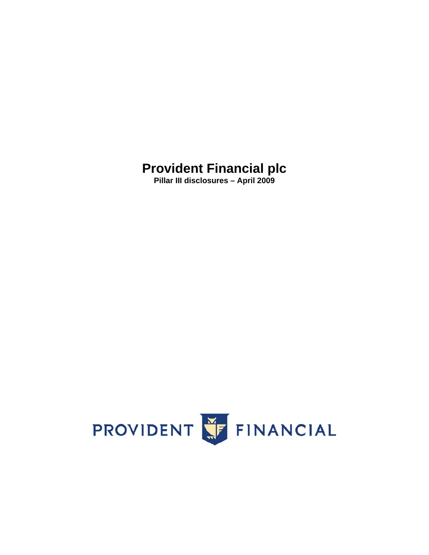**Pillar III disclosures – April 2009** 

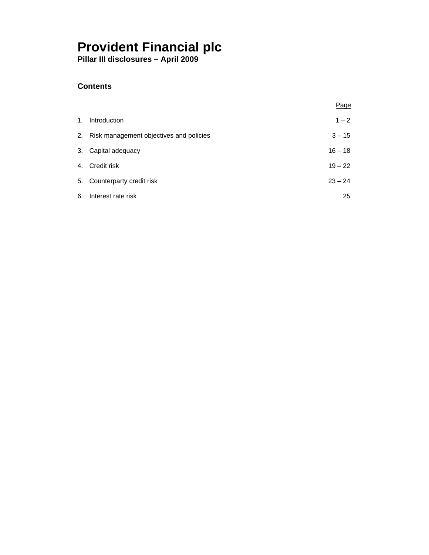**Pillar III disclosures – April 2009** 

## **Contents**

|    |                                            | Page      |
|----|--------------------------------------------|-----------|
| 1. | Introduction                               | $1 - 2$   |
|    | 2. Risk management objectives and policies | $3 - 15$  |
|    | 3. Capital adequacy                        | $16 - 18$ |
|    | 4. Credit risk                             | $19 - 22$ |
|    | 5. Counterparty credit risk                | $23 - 24$ |
| 6. | Interest rate risk                         | 25        |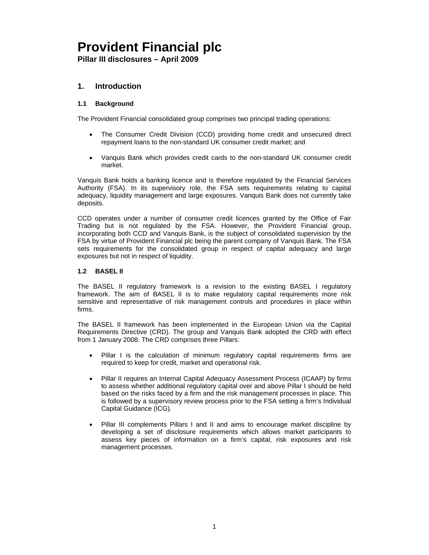**Pillar III disclosures – April 2009** 

### **1. Introduction**

### **1.1 Background**

The Provident Financial consolidated group comprises two principal trading operations:

- The Consumer Credit Division (CCD) providing home credit and unsecured direct repayment loans to the non-standard UK consumer credit market; and
- Vanquis Bank which provides credit cards to the non-standard UK consumer credit market.

Vanquis Bank holds a banking licence and is therefore regulated by the Financial Services Authority (FSA). In its supervisory role, the FSA sets requirements relating to capital adequacy, liquidity management and large exposures. Vanquis Bank does not currently take deposits.

CCD operates under a number of consumer credit licences granted by the Office of Fair Trading but is not regulated by the FSA. However, the Provident Financial group, incorporating both CCD and Vanquis Bank, is the subject of consolidated supervision by the FSA by virtue of Provident Financial plc being the parent company of Vanquis Bank. The FSA sets requirements for the consolidated group in respect of capital adequacy and large exposures but not in respect of liquidity.

### **1.2 BASEL II**

The BASEL II regulatory framework is a revision to the existing BASEL I regulatory framework. The aim of BASEL II is to make regulatory capital requirements more risk sensitive and representative of risk management controls and procedures in place within firms.

The BASEL II framework has been implemented in the European Union via the Capital Requirements Directive (CRD). The group and Vanquis Bank adopted the CRD with effect from 1 January 2008. The CRD comprises three Pillars:

- Pillar I is the calculation of minimum regulatory capital requirements firms are required to keep for credit, market and operational risk.
- Pillar II requires an Internal Capital Adequacy Assessment Process (ICAAP) by firms to assess whether additional regulatory capital over and above Pillar I should be held based on the risks faced by a firm and the risk management processes in place. This is followed by a supervisory review process prior to the FSA setting a firm's Individual Capital Guidance (ICG).
- Pillar III complements Pillars I and II and aims to encourage market discipline by developing a set of disclosure requirements which allows market participants to assess key pieces of information on a firm's capital, risk exposures and risk management processes.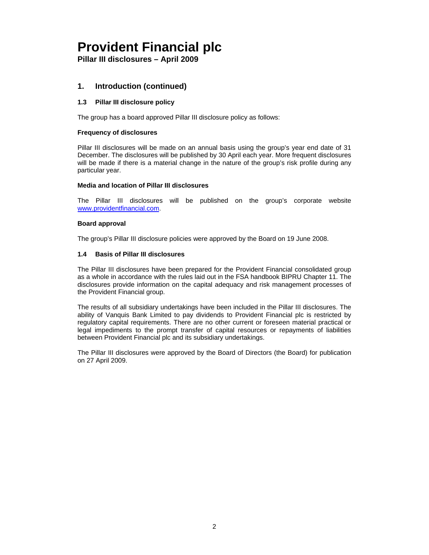**Pillar III disclosures – April 2009** 

## **1. Introduction (continued)**

### **1.3 Pillar III disclosure policy**

The group has a board approved Pillar III disclosure policy as follows:

### **Frequency of disclosures**

Pillar III disclosures will be made on an annual basis using the group's year end date of 31 December. The disclosures will be published by 30 April each year. More frequent disclosures will be made if there is a material change in the nature of the group's risk profile during any particular year.

#### **Media and location of Pillar III disclosures**

The Pillar III disclosures will be published on the group's corporate website www.providentfinancial.com.

### **Board approval**

The group's Pillar III disclosure policies were approved by the Board on 19 June 2008.

### **1.4 Basis of Pillar III disclosures**

The Pillar III disclosures have been prepared for the Provident Financial consolidated group as a whole in accordance with the rules laid out in the FSA handbook BIPRU Chapter 11. The disclosures provide information on the capital adequacy and risk management processes of the Provident Financial group.

The results of all subsidiary undertakings have been included in the Pillar III disclosures. The ability of Vanquis Bank Limited to pay dividends to Provident Financial plc is restricted by regulatory capital requirements. There are no other current or foreseen material practical or legal impediments to the prompt transfer of capital resources or repayments of liabilities between Provident Financial plc and its subsidiary undertakings.

The Pillar III disclosures were approved by the Board of Directors (the Board) for publication on 27 April 2009.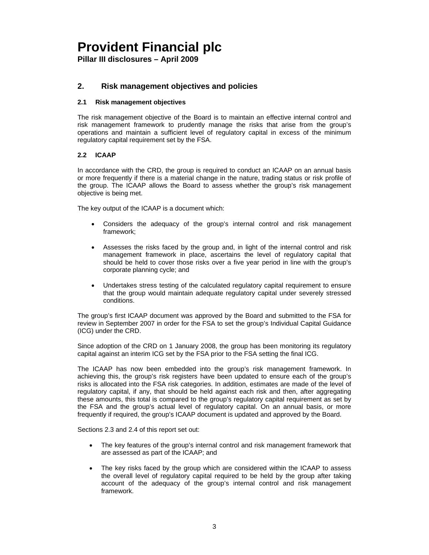**Pillar III disclosures – April 2009** 

### **2. Risk management objectives and policies**

### **2.1 Risk management objectives**

The risk management objective of the Board is to maintain an effective internal control and risk management framework to prudently manage the risks that arise from the group's operations and maintain a sufficient level of regulatory capital in excess of the minimum regulatory capital requirement set by the FSA.

### **2.2 ICAAP**

In accordance with the CRD, the group is required to conduct an ICAAP on an annual basis or more frequently if there is a material change in the nature, trading status or risk profile of the group. The ICAAP allows the Board to assess whether the group's risk management objective is being met.

The key output of the ICAAP is a document which:

- Considers the adequacy of the group's internal control and risk management framework;
- Assesses the risks faced by the group and, in light of the internal control and risk management framework in place, ascertains the level of regulatory capital that should be held to cover those risks over a five year period in line with the group's corporate planning cycle; and
- Undertakes stress testing of the calculated regulatory capital requirement to ensure that the group would maintain adequate regulatory capital under severely stressed conditions.

The group's first ICAAP document was approved by the Board and submitted to the FSA for review in September 2007 in order for the FSA to set the group's Individual Capital Guidance (ICG) under the CRD.

Since adoption of the CRD on 1 January 2008, the group has been monitoring its regulatory capital against an interim ICG set by the FSA prior to the FSA setting the final ICG.

The ICAAP has now been embedded into the group's risk management framework. In achieving this, the group's risk registers have been updated to ensure each of the group's risks is allocated into the FSA risk categories. In addition, estimates are made of the level of regulatory capital, if any, that should be held against each risk and then, after aggregating these amounts, this total is compared to the group's regulatory capital requirement as set by the FSA and the group's actual level of regulatory capital. On an annual basis, or more frequently if required, the group's ICAAP document is updated and approved by the Board.

Sections 2.3 and 2.4 of this report set out:

- The key features of the group's internal control and risk management framework that are assessed as part of the ICAAP; and
- The key risks faced by the group which are considered within the ICAAP to assess the overall level of regulatory capital required to be held by the group after taking account of the adequacy of the group's internal control and risk management framework.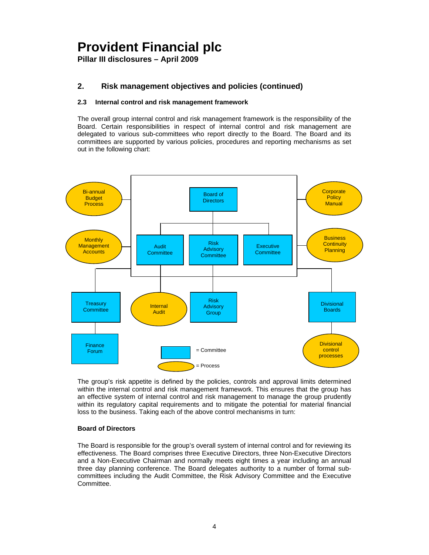**Pillar III disclosures – April 2009** 

## **2. Risk management objectives and policies (continued)**

### **2.3 Internal control and risk management framework**

The overall group internal control and risk management framework is the responsibility of the Board. Certain responsibilities in respect of internal control and risk management are delegated to various sub-committees who report directly to the Board. The Board and its committees are supported by various policies, procedures and reporting mechanisms as set out in the following chart:



The group's risk appetite is defined by the policies, controls and approval limits determined within the internal control and risk management framework. This ensures that the group has an effective system of internal control and risk management to manage the group prudently within its regulatory capital requirements and to mitigate the potential for material financial loss to the business. Taking each of the above control mechanisms in turn:

### **Board of Directors**

The Board is responsible for the group's overall system of internal control and for reviewing its effectiveness. The Board comprises three Executive Directors, three Non-Executive Directors and a Non-Executive Chairman and normally meets eight times a year including an annual three day planning conference. The Board delegates authority to a number of formal subcommittees including the Audit Committee, the Risk Advisory Committee and the Executive Committee.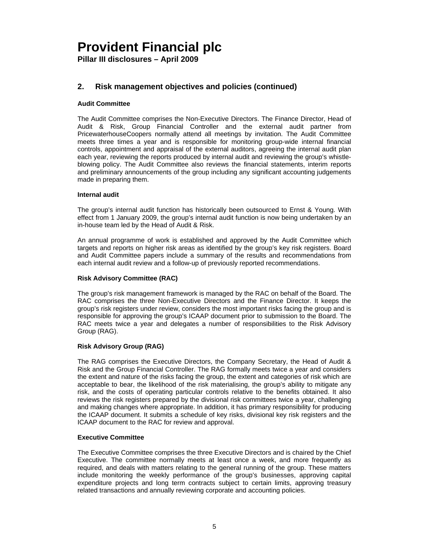**Pillar III disclosures – April 2009** 

## **2. Risk management objectives and policies (continued)**

### **Audit Committee**

The Audit Committee comprises the Non-Executive Directors. The Finance Director, Head of Audit & Risk, Group Financial Controller and the external audit partner from PricewaterhouseCoopers normally attend all meetings by invitation. The Audit Committee meets three times a year and is responsible for monitoring group-wide internal financial controls, appointment and appraisal of the external auditors, agreeing the internal audit plan each year, reviewing the reports produced by internal audit and reviewing the group's whistleblowing policy. The Audit Committee also reviews the financial statements, interim reports and preliminary announcements of the group including any significant accounting judgements made in preparing them.

### **Internal audit**

The group's internal audit function has historically been outsourced to Ernst & Young. With effect from 1 January 2009, the group's internal audit function is now being undertaken by an in-house team led by the Head of Audit & Risk.

An annual programme of work is established and approved by the Audit Committee which targets and reports on higher risk areas as identified by the group's key risk registers. Board and Audit Committee papers include a summary of the results and recommendations from each internal audit review and a follow-up of previously reported recommendations.

#### **Risk Advisory Committee (RAC)**

The group's risk management framework is managed by the RAC on behalf of the Board. The RAC comprises the three Non-Executive Directors and the Finance Director. It keeps the group's risk registers under review, considers the most important risks facing the group and is responsible for approving the group's ICAAP document prior to submission to the Board. The RAC meets twice a year and delegates a number of responsibilities to the Risk Advisory Group (RAG).

### **Risk Advisory Group (RAG)**

The RAG comprises the Executive Directors, the Company Secretary, the Head of Audit & Risk and the Group Financial Controller. The RAG formally meets twice a year and considers the extent and nature of the risks facing the group, the extent and categories of risk which are acceptable to bear, the likelihood of the risk materialising, the group's ability to mitigate any risk, and the costs of operating particular controls relative to the benefits obtained. It also reviews the risk registers prepared by the divisional risk committees twice a year, challenging and making changes where appropriate. In addition, it has primary responsibility for producing the ICAAP document. It submits a schedule of key risks, divisional key risk registers and the ICAAP document to the RAC for review and approval.

#### **Executive Committee**

The Executive Committee comprises the three Executive Directors and is chaired by the Chief Executive. The committee normally meets at least once a week, and more frequently as required, and deals with matters relating to the general running of the group. These matters include monitoring the weekly performance of the group's businesses, approving capital expenditure projects and long term contracts subject to certain limits, approving treasury related transactions and annually reviewing corporate and accounting policies.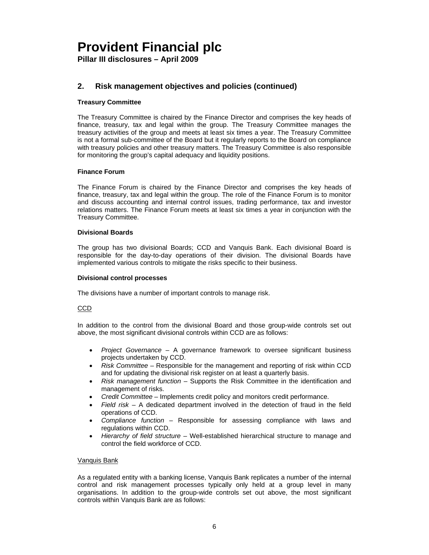**Pillar III disclosures – April 2009** 

## **2. Risk management objectives and policies (continued)**

### **Treasury Committee**

The Treasury Committee is chaired by the Finance Director and comprises the key heads of finance, treasury, tax and legal within the group. The Treasury Committee manages the treasury activities of the group and meets at least six times a year. The Treasury Committee is not a formal sub-committee of the Board but it regularly reports to the Board on compliance with treasury policies and other treasury matters. The Treasury Committee is also responsible for monitoring the group's capital adequacy and liquidity positions.

### **Finance Forum**

The Finance Forum is chaired by the Finance Director and comprises the key heads of finance, treasury, tax and legal within the group. The role of the Finance Forum is to monitor and discuss accounting and internal control issues, trading performance, tax and investor relations matters. The Finance Forum meets at least six times a year in conjunction with the Treasury Committee.

#### **Divisional Boards**

The group has two divisional Boards; CCD and Vanquis Bank. Each divisional Board is responsible for the day-to-day operations of their division. The divisional Boards have implemented various controls to mitigate the risks specific to their business.

#### **Divisional control processes**

The divisions have a number of important controls to manage risk.

#### CCD

In addition to the control from the divisional Board and those group-wide controls set out above, the most significant divisional controls within CCD are as follows:

- *Project Governance* A governance framework to oversee significant business projects undertaken by CCD.
- *Risk Committee* Responsible for the management and reporting of risk within CCD and for updating the divisional risk register on at least a quarterly basis.
- *Risk management function*  Supports the Risk Committee in the identification and management of risks.
- *Credit Committee*  Implements credit policy and monitors credit performance.
- *Field risk*  A dedicated department involved in the detection of fraud in the field operations of CCD.
- *Compliance function* Responsible for assessing compliance with laws and regulations within CCD.
- *Hierarchy of field structure* Well-established hierarchical structure to manage and control the field workforce of CCD.

#### Vanquis Bank

As a regulated entity with a banking license, Vanquis Bank replicates a number of the internal control and risk management processes typically only held at a group level in many organisations. In addition to the group-wide controls set out above, the most significant controls within Vanquis Bank are as follows: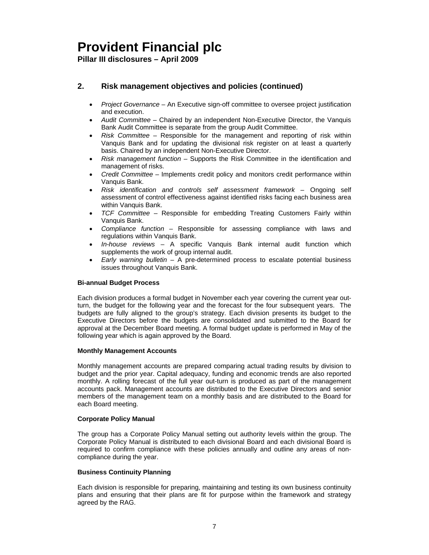**Pillar III disclosures – April 2009** 

## **2. Risk management objectives and policies (continued)**

- *Project Governance*  An Executive sign-off committee to oversee project justification and execution.
- *Audit Committee* Chaired by an independent Non-Executive Director, the Vanquis Bank Audit Committee is separate from the group Audit Committee.
- *Risk Committee* Responsible for the management and reporting of risk within Vanquis Bank and for updating the divisional risk register on at least a quarterly basis. Chaired by an independent Non-Executive Director.
- *Risk management function*  Supports the Risk Committee in the identification and management of risks.
- *Credit Committee*  Implements credit policy and monitors credit performance within Vanquis Bank.
- *Risk identification and controls self assessment framework*  Ongoing self assessment of control effectiveness against identified risks facing each business area within Vanquis Bank.
- *TCF Committee*  Responsible for embedding Treating Customers Fairly within Vanquis Bank.
- *Compliance function* Responsible for assessing compliance with laws and regulations within Vanquis Bank.
- *In-house reviews* A specific Vanquis Bank internal audit function which supplements the work of group internal audit.
- *Early warning bulletin* A pre-determined process to escalate potential business issues throughout Vanquis Bank.

### **Bi-annual Budget Process**

Each division produces a formal budget in November each year covering the current year outturn, the budget for the following year and the forecast for the four subsequent years. The budgets are fully aligned to the group's strategy. Each division presents its budget to the Executive Directors before the budgets are consolidated and submitted to the Board for approval at the December Board meeting. A formal budget update is performed in May of the following year which is again approved by the Board.

#### **Monthly Management Accounts**

Monthly management accounts are prepared comparing actual trading results by division to budget and the prior year. Capital adequacy, funding and economic trends are also reported monthly. A rolling forecast of the full year out-turn is produced as part of the management accounts pack. Management accounts are distributed to the Executive Directors and senior members of the management team on a monthly basis and are distributed to the Board for each Board meeting.

#### **Corporate Policy Manual**

The group has a Corporate Policy Manual setting out authority levels within the group. The Corporate Policy Manual is distributed to each divisional Board and each divisional Board is required to confirm compliance with these policies annually and outline any areas of noncompliance during the year.

### **Business Continuity Planning**

Each division is responsible for preparing, maintaining and testing its own business continuity plans and ensuring that their plans are fit for purpose within the framework and strategy agreed by the RAG.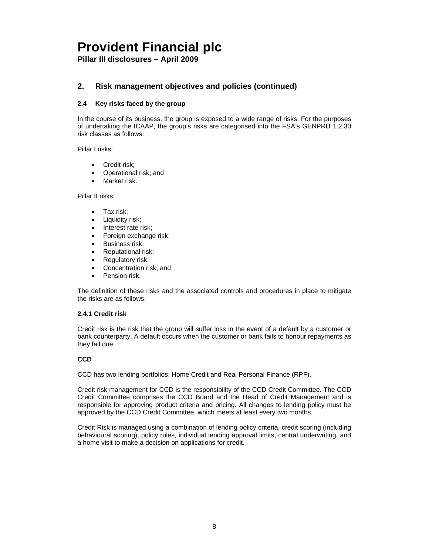**Pillar III disclosures – April 2009** 

## **2. Risk management objectives and policies (continued)**

### **2.4 Key risks faced by the group**

In the course of its business, the group is exposed to a wide range of risks. For the purposes of undertaking the ICAAP, the group's risks are categorised into the FSA's GENPRU 1.2.30 risk classes as follows:

Pillar I risks:

- Credit risk;
- Operational risk; and
- Market risk.

Pillar II risks:

- Tax risk;
- Liquidity risk;
- Interest rate risk;
- Foreign exchange risk;
- Business risk;
- Reputational risk;
- Regulatory risk;
- Concentration risk; and
- Pension risk.

The definition of these risks and the associated controls and procedures in place to mitigate the risks are as follows:

#### **2.4.1 Credit risk**

Credit risk is the risk that the group will suffer loss in the event of a default by a customer or bank counterparty. A default occurs when the customer or bank fails to honour repayments as they fall due.

### **CCD**

CCD has two lending portfolios: Home Credit and Real Personal Finance (RPF).

Credit risk management for CCD is the responsibility of the CCD Credit Committee. The CCD Credit Committee comprises the CCD Board and the Head of Credit Management and is responsible for approving product criteria and pricing. All changes to lending policy must be approved by the CCD Credit Committee, which meets at least every two months.

Credit Risk is managed using a combination of lending policy criteria, credit scoring (including behavioural scoring), policy rules, individual lending approval limits, central underwriting, and a home visit to make a decision on applications for credit.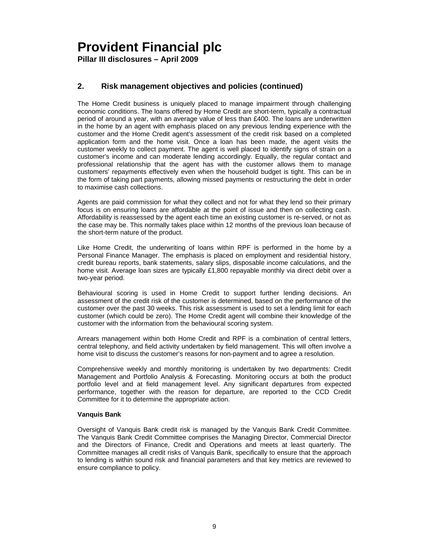**Pillar III disclosures – April 2009** 

## **2. Risk management objectives and policies (continued)**

The Home Credit business is uniquely placed to manage impairment through challenging economic conditions. The loans offered by Home Credit are short-term, typically a contractual period of around a year, with an average value of less than £400. The loans are underwritten in the home by an agent with emphasis placed on any previous lending experience with the customer and the Home Credit agent's assessment of the credit risk based on a completed application form and the home visit. Once a loan has been made, the agent visits the customer weekly to collect payment. The agent is well placed to identify signs of strain on a customer's income and can moderate lending accordingly. Equally, the regular contact and professional relationship that the agent has with the customer allows them to manage customers' repayments effectively even when the household budget is tight. This can be in the form of taking part payments, allowing missed payments or restructuring the debt in order to maximise cash collections.

Agents are paid commission for what they collect and not for what they lend so their primary focus is on ensuring loans are affordable at the point of issue and then on collecting cash. Affordability is reassessed by the agent each time an existing customer is re-served, or not as the case may be. This normally takes place within 12 months of the previous loan because of the short-term nature of the product.

Like Home Credit, the underwriting of loans within RPF is performed in the home by a Personal Finance Manager. The emphasis is placed on employment and residential history, credit bureau reports, bank statements, salary slips, disposable income calculations, and the home visit. Average loan sizes are typically £1,800 repayable monthly via direct debit over a two-year period.

Behavioural scoring is used in Home Credit to support further lending decisions. An assessment of the credit risk of the customer is determined, based on the performance of the customer over the past 30 weeks. This risk assessment is used to set a lending limit for each customer (which could be zero). The Home Credit agent will combine their knowledge of the customer with the information from the behavioural scoring system.

Arrears management within both Home Credit and RPF is a combination of central letters, central telephony, and field activity undertaken by field management. This will often involve a home visit to discuss the customer's reasons for non-payment and to agree a resolution.

Comprehensive weekly and monthly monitoring is undertaken by two departments: Credit Management and Portfolio Analysis & Forecasting. Monitoring occurs at both the product portfolio level and at field management level. Any significant departures from expected performance, together with the reason for departure, are reported to the CCD Credit Committee for it to determine the appropriate action.

#### **Vanquis Bank**

Oversight of Vanquis Bank credit risk is managed by the Vanquis Bank Credit Committee. The Vanquis Bank Credit Committee comprises the Managing Director, Commercial Director and the Directors of Finance, Credit and Operations and meets at least quarterly. The Committee manages all credit risks of Vanquis Bank, specifically to ensure that the approach to lending is within sound risk and financial parameters and that key metrics are reviewed to ensure compliance to policy.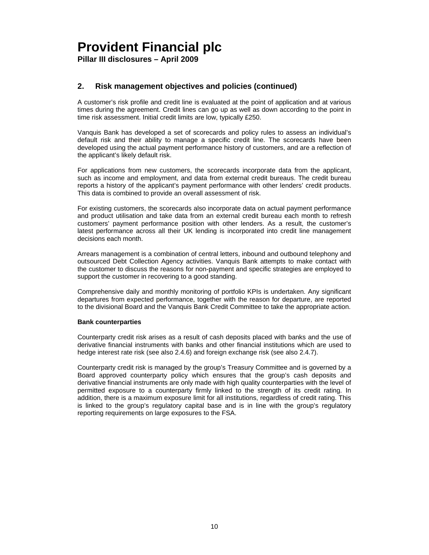**Pillar III disclosures – April 2009** 

## **2. Risk management objectives and policies (continued)**

A customer's risk profile and credit line is evaluated at the point of application and at various times during the agreement. Credit lines can go up as well as down according to the point in time risk assessment. Initial credit limits are low, typically £250.

Vanquis Bank has developed a set of scorecards and policy rules to assess an individual's default risk and their ability to manage a specific credit line. The scorecards have been developed using the actual payment performance history of customers, and are a reflection of the applicant's likely default risk.

For applications from new customers, the scorecards incorporate data from the applicant, such as income and employment, and data from external credit bureaus. The credit bureau reports a history of the applicant's payment performance with other lenders' credit products. This data is combined to provide an overall assessment of risk.

For existing customers, the scorecards also incorporate data on actual payment performance and product utilisation and take data from an external credit bureau each month to refresh customers' payment performance position with other lenders. As a result, the customer's latest performance across all their UK lending is incorporated into credit line management decisions each month.

Arrears management is a combination of central letters, inbound and outbound telephony and outsourced Debt Collection Agency activities. Vanquis Bank attempts to make contact with the customer to discuss the reasons for non-payment and specific strategies are employed to support the customer in recovering to a good standing.

Comprehensive daily and monthly monitoring of portfolio KPIs is undertaken. Any significant departures from expected performance, together with the reason for departure, are reported to the divisional Board and the Vanquis Bank Credit Committee to take the appropriate action.

#### **Bank counterparties**

Counterparty credit risk arises as a result of cash deposits placed with banks and the use of derivative financial instruments with banks and other financial institutions which are used to hedge interest rate risk (see also 2.4.6) and foreign exchange risk (see also 2.4.7).

Counterparty credit risk is managed by the group's Treasury Committee and is governed by a Board approved counterparty policy which ensures that the group's cash deposits and derivative financial instruments are only made with high quality counterparties with the level of permitted exposure to a counterparty firmly linked to the strength of its credit rating. In addition, there is a maximum exposure limit for all institutions, regardless of credit rating. This is linked to the group's regulatory capital base and is in line with the group's regulatory reporting requirements on large exposures to the FSA.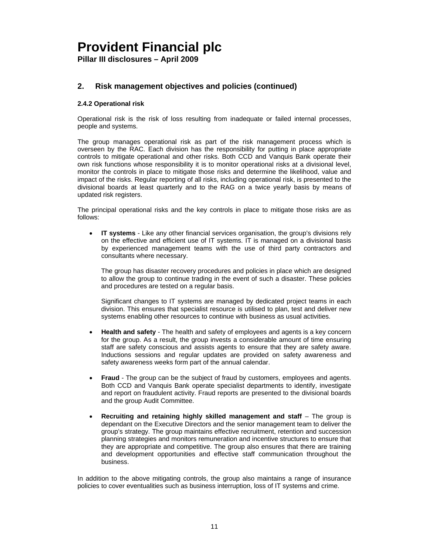**Pillar III disclosures – April 2009** 

## **2. Risk management objectives and policies (continued)**

### **2.4.2 Operational risk**

Operational risk is the risk of loss resulting from inadequate or failed internal processes, people and systems.

The group manages operational risk as part of the risk management process which is overseen by the RAC. Each division has the responsibility for putting in place appropriate controls to mitigate operational and other risks. Both CCD and Vanquis Bank operate their own risk functions whose responsibility it is to monitor operational risks at a divisional level, monitor the controls in place to mitigate those risks and determine the likelihood, value and impact of the risks. Regular reporting of all risks, including operational risk, is presented to the divisional boards at least quarterly and to the RAG on a twice yearly basis by means of updated risk registers.

The principal operational risks and the key controls in place to mitigate those risks are as follows:

• **IT systems** - Like any other financial services organisation, the group's divisions rely on the effective and efficient use of IT systems. IT is managed on a divisional basis by experienced management teams with the use of third party contractors and consultants where necessary.

The group has disaster recovery procedures and policies in place which are designed to allow the group to continue trading in the event of such a disaster. These policies and procedures are tested on a regular basis.

Significant changes to IT systems are managed by dedicated project teams in each division. This ensures that specialist resource is utilised to plan, test and deliver new systems enabling other resources to continue with business as usual activities.

- **Health and safety**  The health and safety of employees and agents is a key concern for the group. As a result, the group invests a considerable amount of time ensuring staff are safety conscious and assists agents to ensure that they are safety aware. Inductions sessions and regular updates are provided on safety awareness and safety awareness weeks form part of the annual calendar.
- **Fraud**  The group can be the subject of fraud by customers, employees and agents. Both CCD and Vanquis Bank operate specialist departments to identify, investigate and report on fraudulent activity. Fraud reports are presented to the divisional boards and the group Audit Committee.
- **Recruiting and retaining highly skilled management and staff The group is** dependant on the Executive Directors and the senior management team to deliver the group's strategy. The group maintains effective recruitment, retention and succession planning strategies and monitors remuneration and incentive structures to ensure that they are appropriate and competitive. The group also ensures that there are training and development opportunities and effective staff communication throughout the business.

In addition to the above mitigating controls, the group also maintains a range of insurance policies to cover eventualities such as business interruption, loss of IT systems and crime.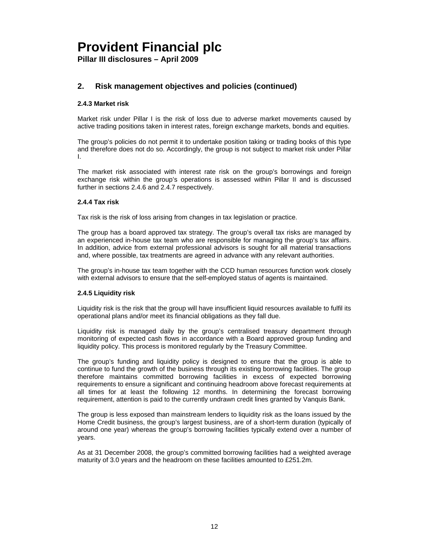**Pillar III disclosures – April 2009** 

## **2. Risk management objectives and policies (continued)**

### **2.4.3 Market risk**

Market risk under Pillar I is the risk of loss due to adverse market movements caused by active trading positions taken in interest rates, foreign exchange markets, bonds and equities.

The group's policies do not permit it to undertake position taking or trading books of this type and therefore does not do so. Accordingly, the group is not subject to market risk under Pillar I.

The market risk associated with interest rate risk on the group's borrowings and foreign exchange risk within the group's operations is assessed within Pillar II and is discussed further in sections 2.4.6 and 2.4.7 respectively.

### **2.4.4 Tax risk**

Tax risk is the risk of loss arising from changes in tax legislation or practice.

The group has a board approved tax strategy. The group's overall tax risks are managed by an experienced in-house tax team who are responsible for managing the group's tax affairs. In addition, advice from external professional advisors is sought for all material transactions and, where possible, tax treatments are agreed in advance with any relevant authorities.

The group's in-house tax team together with the CCD human resources function work closely with external advisors to ensure that the self-employed status of agents is maintained.

#### **2.4.5 Liquidity risk**

Liquidity risk is the risk that the group will have insufficient liquid resources available to fulfil its operational plans and/or meet its financial obligations as they fall due.

Liquidity risk is managed daily by the group's centralised treasury department through monitoring of expected cash flows in accordance with a Board approved group funding and liquidity policy. This process is monitored regularly by the Treasury Committee.

The group's funding and liquidity policy is designed to ensure that the group is able to continue to fund the growth of the business through its existing borrowing facilities. The group therefore maintains committed borrowing facilities in excess of expected borrowing requirements to ensure a significant and continuing headroom above forecast requirements at all times for at least the following 12 months. In determining the forecast borrowing requirement, attention is paid to the currently undrawn credit lines granted by Vanquis Bank.

The group is less exposed than mainstream lenders to liquidity risk as the loans issued by the Home Credit business, the group's largest business, are of a short-term duration (typically of around one year) whereas the group's borrowing facilities typically extend over a number of years.

As at 31 December 2008, the group's committed borrowing facilities had a weighted average maturity of 3.0 years and the headroom on these facilities amounted to £251.2m.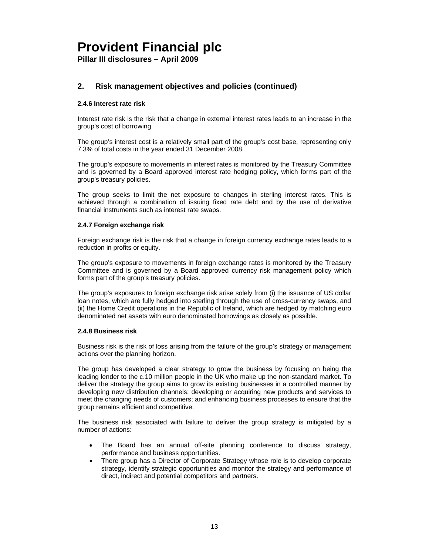**Pillar III disclosures – April 2009** 

## **2. Risk management objectives and policies (continued)**

### **2.4.6 Interest rate risk**

Interest rate risk is the risk that a change in external interest rates leads to an increase in the group's cost of borrowing.

The group's interest cost is a relatively small part of the group's cost base, representing only 7.3% of total costs in the year ended 31 December 2008.

The group's exposure to movements in interest rates is monitored by the Treasury Committee and is governed by a Board approved interest rate hedging policy, which forms part of the group's treasury policies.

The group seeks to limit the net exposure to changes in sterling interest rates. This is achieved through a combination of issuing fixed rate debt and by the use of derivative financial instruments such as interest rate swaps.

#### **2.4.7 Foreign exchange risk**

Foreign exchange risk is the risk that a change in foreign currency exchange rates leads to a reduction in profits or equity.

The group's exposure to movements in foreign exchange rates is monitored by the Treasury Committee and is governed by a Board approved currency risk management policy which forms part of the group's treasury policies.

The group's exposures to foreign exchange risk arise solely from (i) the issuance of US dollar loan notes, which are fully hedged into sterling through the use of cross-currency swaps, and (ii) the Home Credit operations in the Republic of Ireland, which are hedged by matching euro denominated net assets with euro denominated borrowings as closely as possible.

#### **2.4.8 Business risk**

Business risk is the risk of loss arising from the failure of the group's strategy or management actions over the planning horizon.

The group has developed a clear strategy to grow the business by focusing on being the leading lender to the c.10 million people in the UK who make up the non-standard market. To deliver the strategy the group aims to grow its existing businesses in a controlled manner by developing new distribution channels; developing or acquiring new products and services to meet the changing needs of customers; and enhancing business processes to ensure that the group remains efficient and competitive.

The business risk associated with failure to deliver the group strategy is mitigated by a number of actions:

- The Board has an annual off-site planning conference to discuss strategy, performance and business opportunities.
- There group has a Director of Corporate Strategy whose role is to develop corporate strategy, identify strategic opportunities and monitor the strategy and performance of direct, indirect and potential competitors and partners.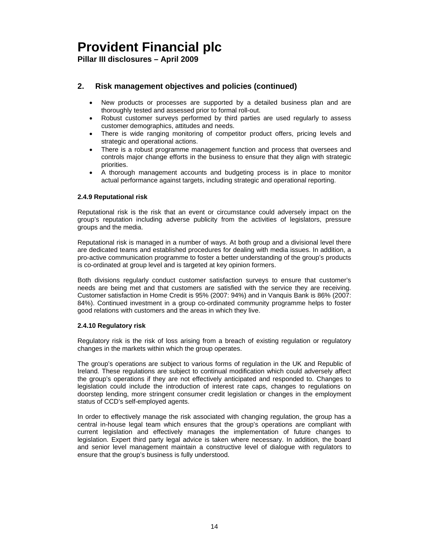**Pillar III disclosures – April 2009** 

## **2. Risk management objectives and policies (continued)**

- New products or processes are supported by a detailed business plan and are thoroughly tested and assessed prior to formal roll-out.
- Robust customer surveys performed by third parties are used regularly to assess customer demographics, attitudes and needs.
- There is wide ranging monitoring of competitor product offers, pricing levels and strategic and operational actions.
- There is a robust programme management function and process that oversees and controls major change efforts in the business to ensure that they align with strategic priorities.
- A thorough management accounts and budgeting process is in place to monitor actual performance against targets, including strategic and operational reporting.

### **2.4.9 Reputational risk**

Reputational risk is the risk that an event or circumstance could adversely impact on the group's reputation including adverse publicity from the activities of legislators, pressure groups and the media.

Reputational risk is managed in a number of ways. At both group and a divisional level there are dedicated teams and established procedures for dealing with media issues. In addition, a pro-active communication programme to foster a better understanding of the group's products is co-ordinated at group level and is targeted at key opinion formers.

Both divisions regularly conduct customer satisfaction surveys to ensure that customer's needs are being met and that customers are satisfied with the service they are receiving. Customer satisfaction in Home Credit is 95% (2007: 94%) and in Vanquis Bank is 86% (2007: 84%). Continued investment in a group co-ordinated community programme helps to foster good relations with customers and the areas in which they live.

#### **2.4.10 Regulatory risk**

Regulatory risk is the risk of loss arising from a breach of existing regulation or regulatory changes in the markets within which the group operates.

The group's operations are subject to various forms of regulation in the UK and Republic of Ireland. These regulations are subject to continual modification which could adversely affect the group's operations if they are not effectively anticipated and responded to. Changes to legislation could include the introduction of interest rate caps, changes to regulations on doorstep lending, more stringent consumer credit legislation or changes in the employment status of CCD's self-employed agents.

In order to effectively manage the risk associated with changing regulation, the group has a central in-house legal team which ensures that the group's operations are compliant with current legislation and effectively manages the implementation of future changes to legislation. Expert third party legal advice is taken where necessary. In addition, the board and senior level management maintain a constructive level of dialogue with regulators to ensure that the group's business is fully understood.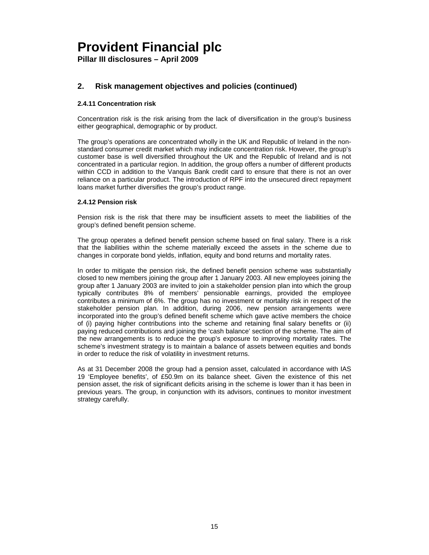**Pillar III disclosures – April 2009** 

## **2. Risk management objectives and policies (continued)**

### **2.4.11 Concentration risk**

Concentration risk is the risk arising from the lack of diversification in the group's business either geographical, demographic or by product.

The group's operations are concentrated wholly in the UK and Republic of Ireland in the nonstandard consumer credit market which may indicate concentration risk. However, the group's customer base is well diversified throughout the UK and the Republic of Ireland and is not concentrated in a particular region. In addition, the group offers a number of different products within CCD in addition to the Vanquis Bank credit card to ensure that there is not an over reliance on a particular product. The introduction of RPF into the unsecured direct repayment loans market further diversifies the group's product range.

### **2.4.12 Pension risk**

Pension risk is the risk that there may be insufficient assets to meet the liabilities of the group's defined benefit pension scheme.

The group operates a defined benefit pension scheme based on final salary. There is a risk that the liabilities within the scheme materially exceed the assets in the scheme due to changes in corporate bond yields, inflation, equity and bond returns and mortality rates.

In order to mitigate the pension risk, the defined benefit pension scheme was substantially closed to new members joining the group after 1 January 2003. All new employees joining the group after 1 January 2003 are invited to join a stakeholder pension plan into which the group typically contributes 8% of members' pensionable earnings, provided the employee contributes a minimum of 6%. The group has no investment or mortality risk in respect of the stakeholder pension plan. In addition, during 2006, new pension arrangements were incorporated into the group's defined benefit scheme which gave active members the choice of (i) paying higher contributions into the scheme and retaining final salary benefits or (ii) paying reduced contributions and joining the 'cash balance' section of the scheme. The aim of the new arrangements is to reduce the group's exposure to improving mortality rates. The scheme's investment strategy is to maintain a balance of assets between equities and bonds in order to reduce the risk of volatility in investment returns.

As at 31 December 2008 the group had a pension asset, calculated in accordance with IAS 19 'Employee benefits', of £50.9m on its balance sheet. Given the existence of this net pension asset, the risk of significant deficits arising in the scheme is lower than it has been in previous years. The group, in conjunction with its advisors, continues to monitor investment strategy carefully.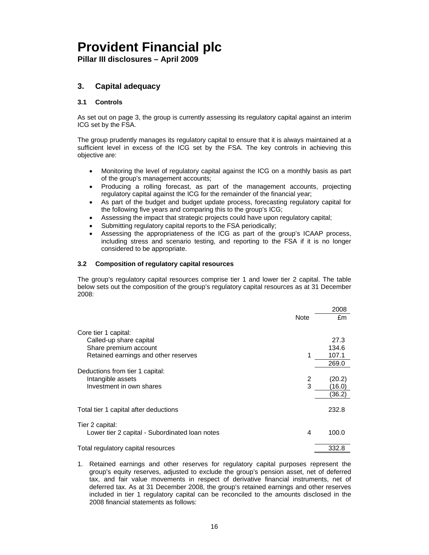**Pillar III disclosures – April 2009** 

## **3. Capital adequacy**

### **3.1 Controls**

As set out on page 3, the group is currently assessing its regulatory capital against an interim ICG set by the FSA.

The group prudently manages its regulatory capital to ensure that it is always maintained at a sufficient level in excess of the ICG set by the FSA. The key controls in achieving this objective are:

- Monitoring the level of regulatory capital against the ICG on a monthly basis as part of the group's management accounts;
- Producing a rolling forecast, as part of the management accounts, projecting regulatory capital against the ICG for the remainder of the financial year;
- As part of the budget and budget update process, forecasting regulatory capital for the following five years and comparing this to the group's ICG;
- Assessing the impact that strategic projects could have upon regulatory capital;
- Submitting regulatory capital reports to the FSA periodically;
- Assessing the appropriateness of the ICG as part of the group's ICAAP process, including stress and scenario testing, and reporting to the FSA if it is no longer considered to be appropriate.

### **3.2 Composition of regulatory capital resources**

The group's regulatory capital resources comprise tier 1 and lower tier 2 capital. The table below sets out the composition of the group's regulatory capital resources as at 31 December 2008:

|                                                |      | 2008   |
|------------------------------------------------|------|--------|
|                                                | Note | £m     |
| Core tier 1 capital:                           |      |        |
| Called-up share capital                        |      | 27.3   |
| Share premium account                          |      | 134.6  |
| Retained earnings and other reserves           | 1    | 107.1  |
|                                                |      | 269.0  |
| Deductions from tier 1 capital:                |      |        |
| Intangible assets                              | 2    | (20.2) |
| Investment in own shares                       | 3    | (16.0) |
|                                                |      | (36.2) |
|                                                |      |        |
| Total tier 1 capital after deductions          |      | 232.8  |
| Tier 2 capital:                                |      |        |
| Lower tier 2 capital - Subordinated Ioan notes | 4    | 100.0  |
| Total regulatory capital resources             |      | 332.8  |

1. Retained earnings and other reserves for regulatory capital purposes represent the group's equity reserves, adjusted to exclude the group's pension asset, net of deferred tax, and fair value movements in respect of derivative financial instruments, net of deferred tax. As at 31 December 2008, the group's retained earnings and other reserves included in tier 1 regulatory capital can be reconciled to the amounts disclosed in the 2008 financial statements as follows: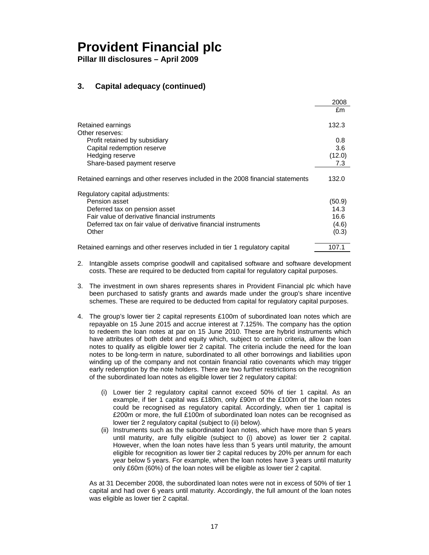**Pillar III disclosures – April 2009** 

## **3. Capital adequacy (continued)**

|                                                                                | 2008   |
|--------------------------------------------------------------------------------|--------|
|                                                                                | £m     |
| Retained earnings                                                              | 132.3  |
| Other reserves:                                                                |        |
| Profit retained by subsidiary                                                  | 0.8    |
| Capital redemption reserve                                                     | 3.6    |
| Hedging reserve                                                                | (12.0) |
| Share-based payment reserve                                                    | 7.3    |
| Retained earnings and other reserves included in the 2008 financial statements | 132.0  |
| Regulatory capital adjustments:                                                |        |
| Pension asset                                                                  | (50.9) |
| Deferred tax on pension asset                                                  | 14.3   |
| Fair value of derivative financial instruments                                 | 16.6   |
| Deferred tax on fair value of derivative financial instruments                 | (4.6)  |
| Other                                                                          | (0.3)  |
| Retained earnings and other reserves included in tier 1 regulatory capital     | 107.1  |

- 2. Intangible assets comprise goodwill and capitalised software and software development costs. These are required to be deducted from capital for regulatory capital purposes.
- 3. The investment in own shares represents shares in Provident Financial plc which have been purchased to satisfy grants and awards made under the group's share incentive schemes. These are required to be deducted from capital for regulatory capital purposes.
- 4. The group's lower tier 2 capital represents £100m of subordinated loan notes which are repayable on 15 June 2015 and accrue interest at 7.125%. The company has the option to redeem the loan notes at par on 15 June 2010. These are hybrid instruments which have attributes of both debt and equity which, subject to certain criteria, allow the loan notes to qualify as eligible lower tier 2 capital. The criteria include the need for the loan notes to be long-term in nature, subordinated to all other borrowings and liabilities upon winding up of the company and not contain financial ratio covenants which may trigger early redemption by the note holders. There are two further restrictions on the recognition of the subordinated loan notes as eligible lower tier 2 regulatory capital:
	- (i) Lower tier 2 regulatory capital cannot exceed 50% of tier 1 capital. As an example, if tier 1 capital was £180m, only £90m of the £100m of the loan notes could be recognised as regulatory capital. Accordingly, when tier 1 capital is £200m or more, the full £100m of subordinated loan notes can be recognised as lower tier 2 regulatory capital (subject to (ii) below).
	- (ii) Instruments such as the subordinated loan notes, which have more than 5 years until maturity, are fully eligible (subject to (i) above) as lower tier 2 capital. However, when the loan notes have less than 5 years until maturity, the amount eligible for recognition as lower tier 2 capital reduces by 20% per annum for each year below 5 years. For example, when the loan notes have 3 years until maturity only £60m (60%) of the loan notes will be eligible as lower tier 2 capital.

As at 31 December 2008, the subordinated loan notes were not in excess of 50% of tier 1 capital and had over 6 years until maturity. Accordingly, the full amount of the loan notes was eligible as lower tier 2 capital.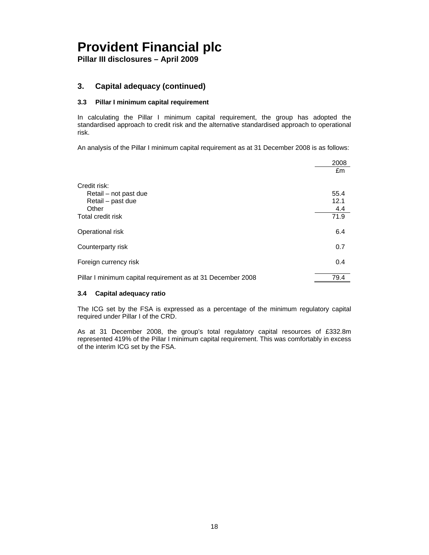**Pillar III disclosures – April 2009** 

### **3. Capital adequacy (continued)**

### **3.3 Pillar I minimum capital requirement**

In calculating the Pillar I minimum capital requirement, the group has adopted the standardised approach to credit risk and the alternative standardised approach to operational risk.

An analysis of the Pillar I minimum capital requirement as at 31 December 2008 is as follows:

|                                                             | 2008 |
|-------------------------------------------------------------|------|
|                                                             | £m   |
| Credit risk:                                                |      |
| Retail – not past due                                       | 55.4 |
| Retail - past due                                           | 12.1 |
| Other                                                       | 4.4  |
| Total credit risk                                           | 71.9 |
| Operational risk                                            | 6.4  |
| Counterparty risk                                           | 0.7  |
| Foreign currency risk                                       | 0.4  |
| Pillar I minimum capital requirement as at 31 December 2008 | 79.4 |

### **3.4 Capital adequacy ratio**

The ICG set by the FSA is expressed as a percentage of the minimum regulatory capital required under Pillar I of the CRD.

As at 31 December 2008, the group's total regulatory capital resources of £332.8m represented 419% of the Pillar I minimum capital requirement. This was comfortably in excess of the interim ICG set by the FSA.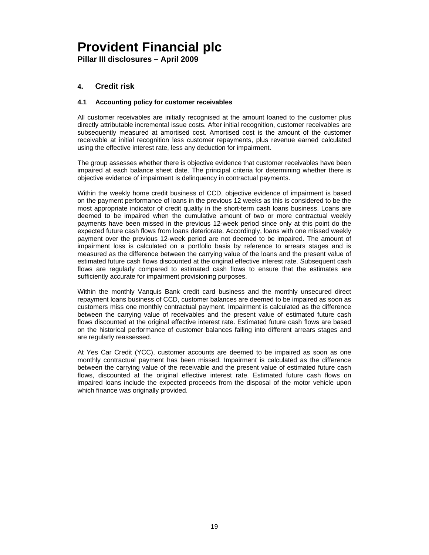**Pillar III disclosures – April 2009** 

### **4. Credit risk**

### **4.1 Accounting policy for customer receivables**

All customer receivables are initially recognised at the amount loaned to the customer plus directly attributable incremental issue costs. After initial recognition, customer receivables are subsequently measured at amortised cost. Amortised cost is the amount of the customer receivable at initial recognition less customer repayments, plus revenue earned calculated using the effective interest rate, less any deduction for impairment.

The group assesses whether there is objective evidence that customer receivables have been impaired at each balance sheet date. The principal criteria for determining whether there is objective evidence of impairment is delinquency in contractual payments.

Within the weekly home credit business of CCD, objective evidence of impairment is based on the payment performance of loans in the previous 12 weeks as this is considered to be the most appropriate indicator of credit quality in the short-term cash loans business. Loans are deemed to be impaired when the cumulative amount of two or more contractual weekly payments have been missed in the previous 12-week period since only at this point do the expected future cash flows from loans deteriorate. Accordingly, loans with one missed weekly payment over the previous 12-week period are not deemed to be impaired. The amount of impairment loss is calculated on a portfolio basis by reference to arrears stages and is measured as the difference between the carrying value of the loans and the present value of estimated future cash flows discounted at the original effective interest rate. Subsequent cash flows are regularly compared to estimated cash flows to ensure that the estimates are sufficiently accurate for impairment provisioning purposes.

Within the monthly Vanquis Bank credit card business and the monthly unsecured direct repayment loans business of CCD, customer balances are deemed to be impaired as soon as customers miss one monthly contractual payment. Impairment is calculated as the difference between the carrying value of receivables and the present value of estimated future cash flows discounted at the original effective interest rate. Estimated future cash flows are based on the historical performance of customer balances falling into different arrears stages and are regularly reassessed.

At Yes Car Credit (YCC), customer accounts are deemed to be impaired as soon as one monthly contractual payment has been missed. Impairment is calculated as the difference between the carrying value of the receivable and the present value of estimated future cash flows, discounted at the original effective interest rate. Estimated future cash flows on impaired loans include the expected proceeds from the disposal of the motor vehicle upon which finance was originally provided.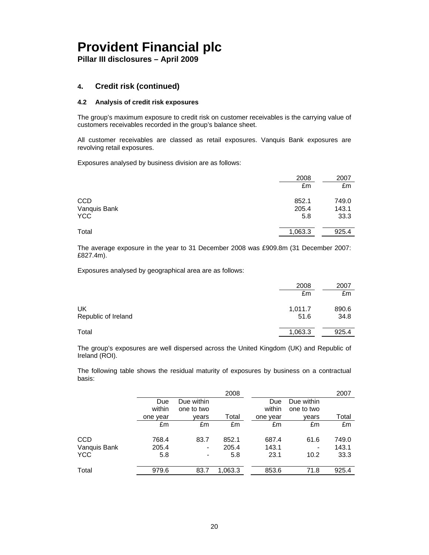**Pillar III disclosures – April 2009** 

### **4. Credit risk (continued)**

### **4.2 Analysis of credit risk exposures**

The group's maximum exposure to credit risk on customer receivables is the carrying value of customers receivables recorded in the group's balance sheet.

All customer receivables are classed as retail exposures. Vanquis Bank exposures are revolving retail exposures.

Exposures analysed by business division are as follows:

|              | 2008    | 2007  |
|--------------|---------|-------|
|              | £m      | £m    |
| <b>CCD</b>   | 852.1   | 749.0 |
| Vanquis Bank | 205.4   | 143.1 |
| <b>YCC</b>   | 5.8     | 33.3  |
| Total        | 1,063.3 | 925.4 |

The average exposure in the year to 31 December 2008 was £909.8m (31 December 2007: £827.4m).

Exposures analysed by geographical area are as follows:

|                     | 2008    | 2007  |
|---------------------|---------|-------|
|                     | £m      | £m    |
| UK                  | 1,011.7 | 890.6 |
| Republic of Ireland | 51.6    | 34.8  |
| Total               | 1,063.3 | 925.4 |

The group's exposures are well dispersed across the United Kingdom (UK) and Republic of Ireland (ROI).

The following table shows the residual maturity of exposures by business on a contractual basis:

|              |          |                          | 2008    |          |            | 2007  |
|--------------|----------|--------------------------|---------|----------|------------|-------|
|              | Due      | Due within               |         | Due      | Due within |       |
|              | within   | one to two               |         | within   | one to two |       |
|              | one year | vears                    | Total   | one year | vears      | Total |
|              | £m       | £m                       | £m      | £m       | £m         | £m    |
| <b>CCD</b>   | 768.4    | 83.7                     | 852.1   | 687.4    | 61.6       | 749.0 |
| Vanquis Bank | 205.4    | $\overline{\phantom{a}}$ | 205.4   | 143.1    |            | 143.1 |
| <b>YCC</b>   | 5.8      | $\,$                     | 5.8     | 23.1     | 10.2       | 33.3  |
| Total        | 979.6    | 83.7                     | 1,063.3 | 853.6    | 71.8       | 925.4 |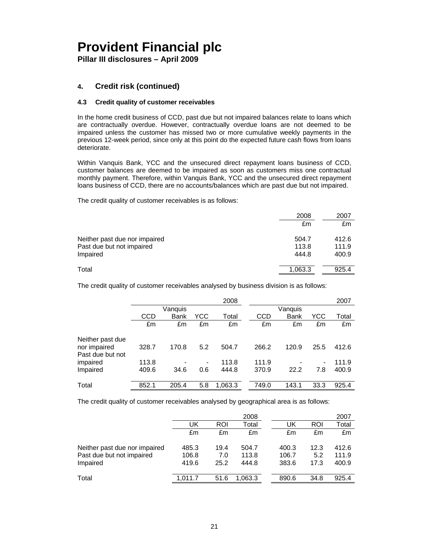**Pillar III disclosures – April 2009** 

## **4. Credit risk (continued)**

### **4.3 Credit quality of customer receivables**

In the home credit business of CCD, past due but not impaired balances relate to loans which are contractually overdue. However, contractually overdue loans are not deemed to be impaired unless the customer has missed two or more cumulative weekly payments in the previous 12-week period, since only at this point do the expected future cash flows from loans deteriorate.

Within Vanquis Bank, YCC and the unsecured direct repayment loans business of CCD, customer balances are deemed to be impaired as soon as customers miss one contractual monthly payment. Therefore, within Vanquis Bank, YCC and the unsecured direct repayment loans business of CCD, there are no accounts/balances which are past due but not impaired.

The credit quality of customer receivables is as follows:

|                               | 2008    | 2007  |
|-------------------------------|---------|-------|
|                               | £m      | £m    |
| Neither past due nor impaired | 504.7   | 412.6 |
| Past due but not impaired     | 113.8   | 111.9 |
| Impaired                      | 444.8   | 400.9 |
| Total                         | 1,063.3 | 925.4 |

The credit quality of customer receivables analysed by business division is as follows:

|                                  |            |         |                | 2008    |       |         |      | 2007  |
|----------------------------------|------------|---------|----------------|---------|-------|---------|------|-------|
|                                  |            | Vanquis |                |         |       | Vanquis |      |       |
|                                  | <b>CCD</b> | Bank    | YCC            | Total   | CCD   | Bank    | YCC  | Total |
|                                  | £m         | £m      | £m             | £m      | £m    | £m      | £m   | £m    |
| Neither past due                 |            |         |                |         |       |         |      |       |
| nor impaired<br>Past due but not | 328.7      | 170.8   | 5.2            | 504.7   | 266.2 | 120.9   | 25.5 | 412.6 |
| impaired                         | 113.8      |         | $\blacksquare$ | 113.8   | 111.9 |         | ۰    | 111.9 |
| Impaired                         | 409.6      | 34.6    | 0.6            | 444.8   | 370.9 | 22.2    | 7.8  | 400.9 |
| Total                            | 852.1      | 205.4   | 5.8            | 1,063.3 | 749.0 | 143.1   | 33.3 | 925.4 |
|                                  |            |         |                |         |       |         |      |       |

The credit quality of customer receivables analysed by geographical area is as follows:

|                               |         |      | 2008    |       |      | 2007  |
|-------------------------------|---------|------|---------|-------|------|-------|
|                               | UK      | ROI  | Total   | UK    | ROI  | Total |
|                               | £m      | £m   | £m      | £m    | £m   | £m    |
| Neither past due nor impaired | 485.3   | 19.4 | 504.7   | 400.3 | 12.3 | 412.6 |
| Past due but not impaired     | 106.8   | 7.0  | 113.8   | 106.7 | 5.2  | 111.9 |
| Impaired                      | 419.6   | 25.2 | 444.8   | 383.6 | 17.3 | 400.9 |
| Total                         | 1.011.7 | 51.6 | 1.063.3 | 890.6 | 34.8 | 925.4 |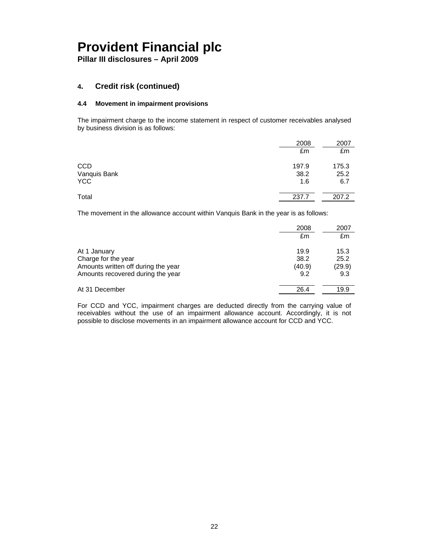**Pillar III disclosures – April 2009** 

### **4. Credit risk (continued)**

### **4.4 Movement in impairment provisions**

The impairment charge to the income statement in respect of customer receivables analysed by business division is as follows:

|              | 2008  | 2007  |
|--------------|-------|-------|
|              | £m    | £m    |
| <b>CCD</b>   | 197.9 | 175.3 |
| Vanquis Bank | 38.2  | 25.2  |
| <b>YCC</b>   | 1.6   | 6.7   |
| Total        | 237.7 | 207.2 |

The movement in the allowance account within Vanquis Bank in the year is as follows:

|                                     | 2008<br>£m | 2007<br>£m |
|-------------------------------------|------------|------------|
| At 1 January                        | 19.9       | 15.3       |
| Charge for the year                 | 38.2       | 25.2       |
| Amounts written off during the year | (40.9)     | (29.9)     |
| Amounts recovered during the year   | 9.2        | 9.3        |
| At 31 December                      | 26.4       | 19.9       |

For CCD and YCC, impairment charges are deducted directly from the carrying value of receivables without the use of an impairment allowance account. Accordingly, it is not possible to disclose movements in an impairment allowance account for CCD and YCC.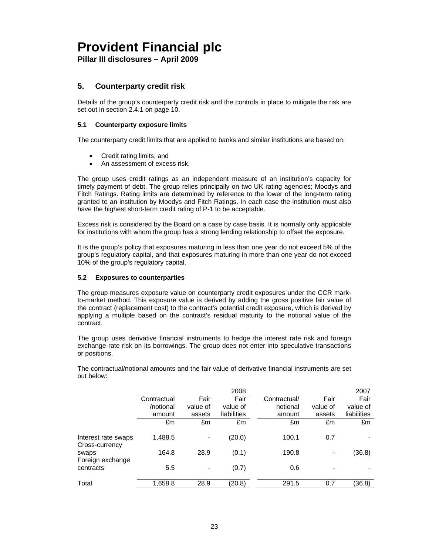**Pillar III disclosures – April 2009** 

## **5. Counterparty credit risk**

Details of the group's counterparty credit risk and the controls in place to mitigate the risk are set out in section 2.4.1 on page 10.

### **5.1 Counterparty exposure limits**

The counterparty credit limits that are applied to banks and similar institutions are based on:

- Credit rating limits; and
- An assessment of excess risk.

The group uses credit ratings as an independent measure of an institution's capacity for timely payment of debt. The group relies principally on two UK rating agencies; Moodys and Fitch Ratings. Rating limits are determined by reference to the lower of the long-term rating granted to an institution by Moodys and Fitch Ratings. In each case the institution must also have the highest short-term credit rating of P-1 to be acceptable.

Excess risk is considered by the Board on a case by case basis. It is normally only applicable for institutions with whom the group has a strong lending relationship to offset the exposure.

It is the group's policy that exposures maturing in less than one year do not exceed 5% of the group's regulatory capital, and that exposures maturing in more than one year do not exceed 10% of the group's regulatory capital.

### **5.2 Exposures to counterparties**

The group measures exposure value on counterparty credit exposures under the CCR markto-market method. This exposure value is derived by adding the gross positive fair value of the contract (replacement cost) to the contract's potential credit exposure, which is derived by applying a multiple based on the contract's residual maturity to the notional value of the contract.

The group uses derivative financial instruments to hedge the interest rate risk and foreign exchange rate risk on its borrowings. The group does not enter into speculative transactions or positions.

|                                       |             |          | 2008        |              |          | 2007        |
|---------------------------------------|-------------|----------|-------------|--------------|----------|-------------|
|                                       | Contractual | Fair     | Fair        | Contractual/ | Fair     | Fair        |
|                                       | /notional   | value of | value of    | notional     | value of | value of    |
|                                       | amount      | assets   | liabilities | amount       | assets   | liabilities |
|                                       | £m          | £m       | £m          | £m           | £m       | £m          |
| Interest rate swaps<br>Cross-currency | 1,488.5     |          | (20.0)      | 100.1        | 0.7      |             |
| swaps<br>Foreign exchange             | 164.8       | 28.9     | (0.1)       | 190.8        |          | (36.8)      |
| contracts                             | 5.5         |          | (0.7)       | 0.6          |          |             |
| Total                                 | 1,658.8     | 28.9     | (20.8)      | 291.5        | 0.7      | (36.8)      |

The contractual/notional amounts and the fair value of derivative financial instruments are set out below: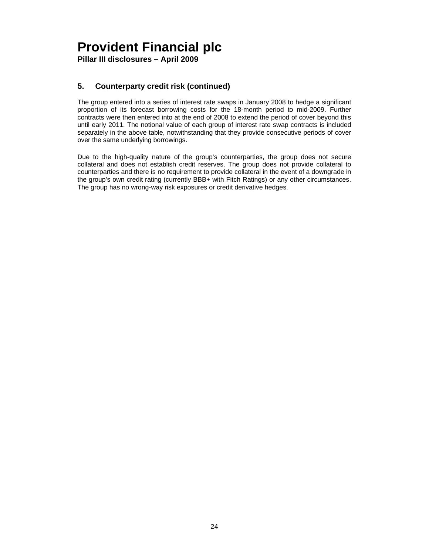**Pillar III disclosures – April 2009** 

## **5. Counterparty credit risk (continued)**

The group entered into a series of interest rate swaps in January 2008 to hedge a significant proportion of its forecast borrowing costs for the 18-month period to mid-2009. Further contracts were then entered into at the end of 2008 to extend the period of cover beyond this until early 2011. The notional value of each group of interest rate swap contracts is included separately in the above table, notwithstanding that they provide consecutive periods of cover over the same underlying borrowings.

Due to the high-quality nature of the group's counterparties, the group does not secure collateral and does not establish credit reserves. The group does not provide collateral to counterparties and there is no requirement to provide collateral in the event of a downgrade in the group's own credit rating (currently BBB+ with Fitch Ratings) or any other circumstances. The group has no wrong-way risk exposures or credit derivative hedges.